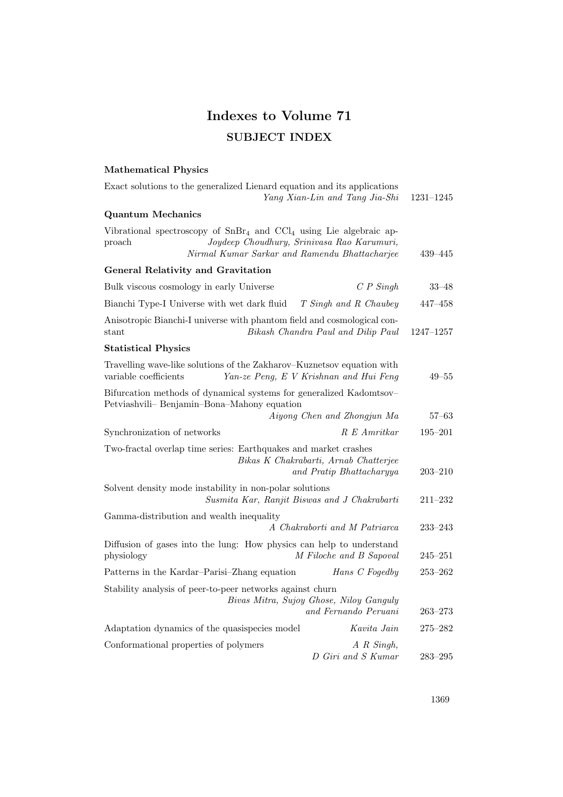# Indexes to Volume 71 SUBJECT INDEX

## Mathematical Physics

| Exact solutions to the generalized Lienard equation and its applications<br>Yang Xian-Lin and Tang Jia-Shi                                                                      | 1231-1245   |
|---------------------------------------------------------------------------------------------------------------------------------------------------------------------------------|-------------|
| <b>Quantum Mechanics</b>                                                                                                                                                        |             |
| Vibrational spectroscopy of $SnBr4$ and $CCl4$ using Lie algebraic ap-<br>Joydeep Choudhury, Srinivasa Rao Karumuri,<br>proach<br>Nirmal Kumar Sarkar and Ramendu Bhattacharjee | 439–445     |
| <b>General Relativity and Gravitation</b>                                                                                                                                       |             |
| $C P$ Singh<br>Bulk viscous cosmology in early Universe                                                                                                                         | $33 - 48$   |
| Bianchi Type-I Universe with wet dark fluid<br>T Singh and R Chaubey                                                                                                            | $447 - 458$ |
| Anisotropic Bianchi-I universe with phantom field and cosmological con-<br>Bikash Chandra Paul and Dilip Paul<br>stant                                                          | 1247-1257   |
| <b>Statistical Physics</b>                                                                                                                                                      |             |
| Travelling wave-like solutions of the Zakharov-Kuznetsov equation with<br>variable coefficients<br>Yan-ze Peng, E V Krishnan and Hui Feng                                       | $49 - 55$   |
| Bifurcation methods of dynamical systems for generalized Kadomtsov-<br>Petviashvili-Benjamin-Bona-Mahony equation<br>Aiyong Chen and Zhongjun Ma                                | $57 - 63$   |
| Synchronization of networks<br>R E Amritkar                                                                                                                                     | $195 - 201$ |
| Two-fractal overlap time series: Earthquakes and market crashes<br>Bikas K Chakrabarti, Arnab Chatterjee<br>and Pratip Bhattacharyya                                            | $203 - 210$ |
| Solvent density mode instability in non-polar solutions<br>Susmita Kar, Ranjit Biswas and J Chakrabarti                                                                         | $211 - 232$ |
| Gamma-distribution and wealth inequality<br>A Chakraborti and M Patriarca                                                                                                       | $233 - 243$ |
| Diffusion of gases into the lung: How physics can help to understand<br>physiology<br>M Filoche and B Sapoval                                                                   | $245 - 251$ |
| Patterns in the Kardar-Parisi-Zhang equation<br>Hans C Fogedby                                                                                                                  | $253 - 262$ |
| Stability analysis of peer-to-peer networks against churn<br>Bivas Mitra, Sujoy Ghose, Niloy Ganguly<br>and Fernando Peruani                                                    | $263 - 273$ |
| Adaptation dynamics of the quasispecies model<br>Kavita Jain                                                                                                                    | $275 - 282$ |
| A R Singh,<br>Conformational properties of polymers<br>D Giri and S Kumar                                                                                                       | $283 - 295$ |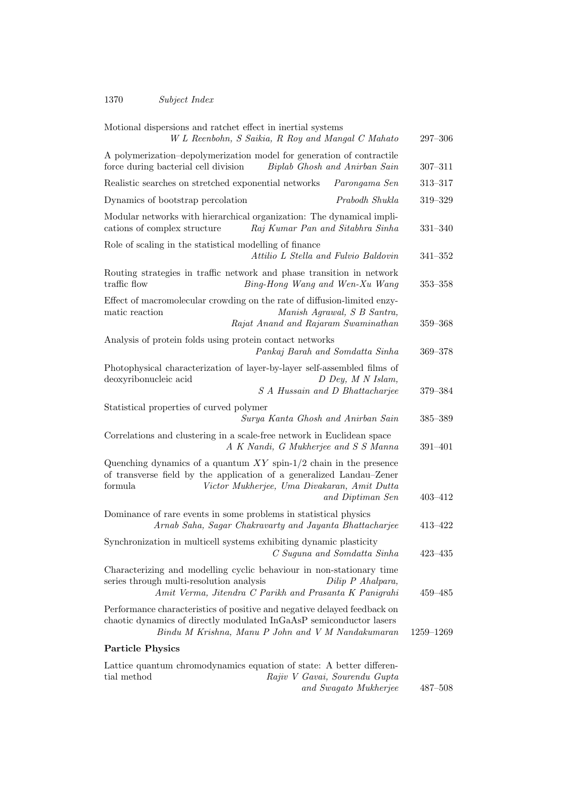### 1370 Subject Index

| Motional dispersions and ratchet effect in inertial systems<br>W L Reenbohn, S Saikia, R Roy and Mangal C Mahato                                                                                                          | $297 - 306$ |
|---------------------------------------------------------------------------------------------------------------------------------------------------------------------------------------------------------------------------|-------------|
| A polymerization-depolymerization model for generation of contractile<br>force during bacterial cell division<br>Biplab Ghosh and Anirban Sain                                                                            | $307 - 311$ |
| Realistic searches on stretched exponential networks<br>Parongama Sen                                                                                                                                                     | $313 - 317$ |
| Dynamics of bootstrap percolation<br>Prabodh Shukla                                                                                                                                                                       | 319-329     |
| Modular networks with hierarchical organization: The dynamical impli-<br>Raj Kumar Pan and Sitabhra Sinha<br>cations of complex structure                                                                                 | 331-340     |
| Role of scaling in the statistical modelling of finance<br>Attilio L Stella and Fulvio Baldovin                                                                                                                           | $341 - 352$ |
| Routing strategies in traffic network and phase transition in network<br>traffic flow<br>Bing-Hong Wang and Wen-Xu Wang                                                                                                   | $353 - 358$ |
| Effect of macromolecular crowding on the rate of diffusion-limited enzy-<br>matic reaction<br>Manish Agrawal, S B Santra,<br>Rajat Anand and Rajaram Swaminathan                                                          | 359-368     |
| Analysis of protein folds using protein contact networks<br>Pankaj Barah and Somdatta Sinha                                                                                                                               | 369-378     |
| Photophysical characterization of layer-by-layer self-assembled films of<br>D Dey, M N Islam,<br>deoxyribonucleic acid<br>S A Hussain and D Bhattacharjee                                                                 | 379-384     |
| Statistical properties of curved polymer<br>Surya Kanta Ghosh and Anirban Sain                                                                                                                                            | 385-389     |
| Correlations and clustering in a scale-free network in Euclidean space<br>A K Nandi, G Mukherjee and S S Manna                                                                                                            | $391 - 401$ |
| Quenching dynamics of a quantum $XY$ spin-1/2 chain in the presence<br>of transverse field by the application of a generalized Landau–Zener<br>formula<br>Victor Mukherjee, Uma Divakaran, Amit Dutta<br>and Diptiman Sen | $403 - 412$ |
| Dominance of rare events in some problems in statistical physics<br>Arnab Saha, Sagar Chakravarty and Jayanta Bhattacharjee                                                                                               | 413-422     |
| Synchronization in multicell systems exhibiting dynamic plasticity<br>C Suguna and Somdatta Sinha                                                                                                                         | $423 - 435$ |
| Characterizing and modelling cyclic behaviour in non-stationary time<br>series through multi-resolution analysis<br>Dilip P Ahalpara,<br>Amit Verma, Jitendra C Parikh and Prasanta K Panigrahi                           | $459 - 485$ |
| Performance characteristics of positive and negative delayed feedback on<br>chaotic dynamics of directly modulated InGaAsP semiconductor lasers<br>Bindu M Krishna, Manu P John and V M Nandakumaran                      | 1259-1269   |
| <b>Particle Physics</b>                                                                                                                                                                                                   |             |
| Lattice quantum chromodynamics equation of state: A better differen-<br>tial method<br>Rajiv V Gavai, Sourendu Gupta<br>and Swagato Mukherjee                                                                             | $487 - 508$ |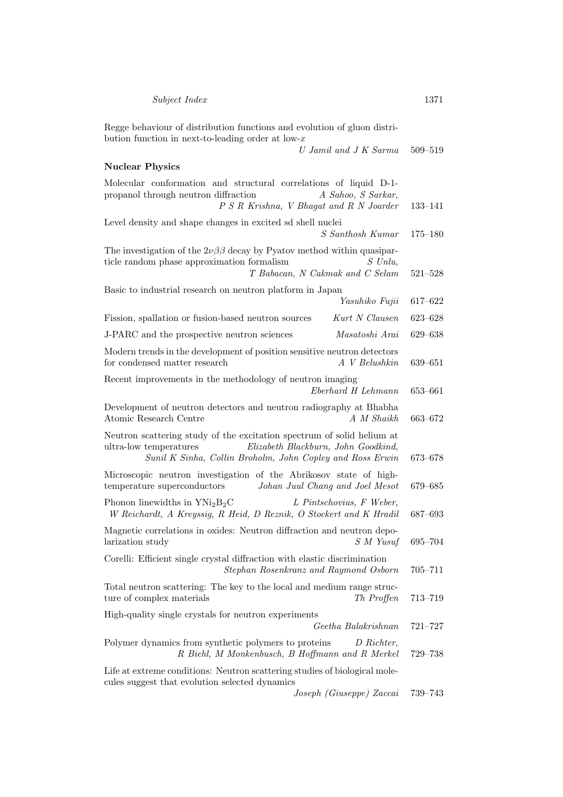Regge behaviour of distribution functions and evolution of gluon distribution function in next-to-leading order at low- $x$ U Jamil and J K Sarma 509–519 Nuclear Physics Molecular conformation and structural correlations of liquid D-1 propanol through neutron diffraction  $A$  Sahoo, S Sarkar, P S R Krishna, V Bhagat and R N Joarder 133–141 Level density and shape changes in excited sd shell nuclei S Santhosh Kumar 175–180 The investigation of the  $2\nu\beta\beta$  decay by Pyatov method within quasiparticle random phase approximation formalism  $S$  Unlu, T Babacan, N Cakmak and C Selam 521–528 Basic to industrial research on neutron platform in Japan

Yasuhiko Fujii 617–622 Fission, spallation or fusion-based neutron sources Kurt N Clausen 623–628 J-PARC and the prospective neutron sciences Masatoshi Arai 629–638 Modern trends in the development of position sensitive neutron detectors for condensed matter research A V Belushkin 639–651 Recent improvements in the methodology of neutron imaging Eberhard H Lehmann 653–661 Development of neutron detectors and neutron radiography at Bhabha Atomic Research Centre A M Shaikh 663–672 Neutron scattering study of the excitation spectrum of solid helium at ultra-low temperatures Elizabeth Blackburn, John Goodkind, Sunil K Sinha, Collin Broholm, John Copley and Ross Erwin 673–678 Microscopic neutron investigation of the Abrikosov state of hightemperature superconductors Johan Juul Chang and Joel Mesot 679–685 Phonon linewidths in  $YNi<sub>2</sub>B<sub>2</sub>C$  L Pintschovius, F Weber, W Reichardt, A Kreyssig, R Heid, D Reznik, O Stockert and K Hradil 687–693 Magnetic correlations in oxides: Neutron diffraction and neutron depolarization study  $S M Y_{usuf}$  695–704 Corelli: Efficient single crystal diffraction with elastic discrimination Stephan Rosenkranz and Raymond Osborn 705–711

Total neutron scattering: The key to the local and medium range structure of complex materials Th Proffen 713–719 High-quality single crystals for neutron experiments Geetha Balakrishnan 721–727

Polymer dynamics from synthetic polymers to proteins D Richter, R Biehl, M Monkenbusch, B Hoffmann and R Merkel 729–738

Life at extreme conditions: Neutron scattering studies of biological molecules suggest that evolution selected dynamics

Joseph (Giuseppe) Zaccai 739–743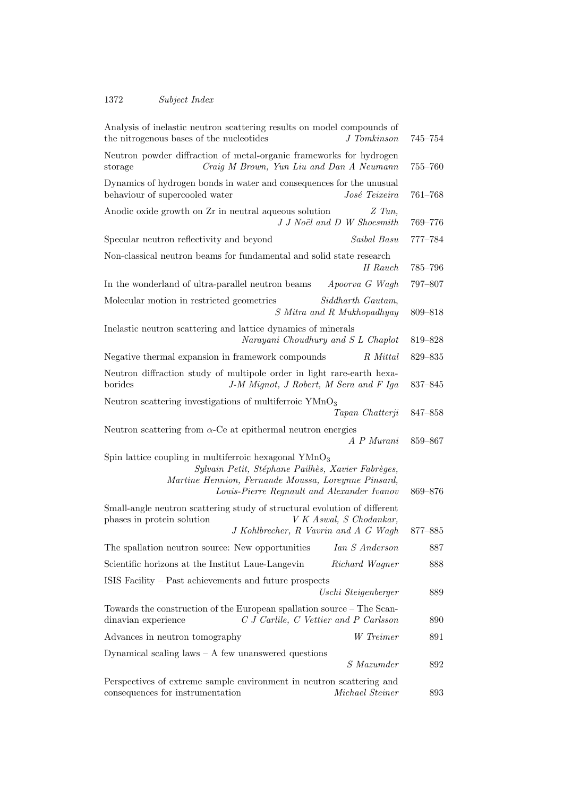### 1372 Subject Index

| Analysis of inelastic neutron scattering results on model compounds of<br>the nitrogenous bases of the nucleotides<br>J Tomkinson                                                                                 | $745 - 754$ |
|-------------------------------------------------------------------------------------------------------------------------------------------------------------------------------------------------------------------|-------------|
| Neutron powder diffraction of metal-organic frameworks for hydrogen<br>Craig M Brown, Yun Liu and Dan A Neumann<br>storage                                                                                        | $755 - 760$ |
| Dynamics of hydrogen bonds in water and consequences for the unusual<br>behaviour of supercooled water<br>José Teixeira                                                                                           | $761 - 768$ |
| Anodic oxide growth on Zr in neutral aqueous solution<br>$Z$ Tun,<br>J J Noël and D W Shoesmith                                                                                                                   | 769-776     |
| Saibal Basu<br>Specular neutron reflectivity and beyond                                                                                                                                                           | 777-784     |
| Non-classical neutron beams for fundamental and solid state research<br>H Rauch                                                                                                                                   | 785–796     |
| In the wonderland of ultra-parallel neutron beams<br>Apoorva G Wagh                                                                                                                                               | 797-807     |
| Siddharth Gautam,<br>Molecular motion in restricted geometries<br>S Mitra and R Mukhopadhyay                                                                                                                      | 809-818     |
| Inelastic neutron scattering and lattice dynamics of minerals<br>Narayani Choudhury and S L Chaplot                                                                                                               | 819-828     |
| Negative thermal expansion in framework compounds<br>R Mittal                                                                                                                                                     | 829-835     |
| Neutron diffraction study of multipole order in light rare-earth hexa-<br>borides<br>J-M Mignot, J Robert, M Sera and F Iga                                                                                       | 837-845     |
| Neutron scattering investigations of multiferroic YMnO <sub>3</sub><br>Tapan Chatterji                                                                                                                            | 847-858     |
| Neutron scattering from $\alpha$ -Ce at epithermal neutron energies<br>A P Murani                                                                                                                                 | 859-867     |
| Spin lattice coupling in multiferroic hexagonal $YMnO3$<br>Sylvain Petit, Stéphane Pailhès, Xavier Fabrèges,<br>Martine Hennion, Fernande Moussa, Loreynne Pinsard,<br>Louis-Pierre Regnault and Alexander Ivanov | 869-876     |
| Small-angle neutron scattering study of structural evolution of different<br>phases in protein solution<br>V K Aswal, S Chodankar,<br>J Kohlbrecher, R Vavrin and A G Wagh                                        | 877-885     |
| The spallation neutron source: New opportunities Ian S Anderson                                                                                                                                                   | 887         |
| Scientific horizons at the Institut Laue-Langevin<br>Richard Wagner                                                                                                                                               | 888         |
| ISIS Facility – Past achievements and future prospects<br>Uschi Steigenberger                                                                                                                                     | 889         |
| Towards the construction of the European spallation source – The Scan-<br>C J Carlile, C Vettier and P Carlsson<br>dinavian experience                                                                            | 890         |
| W Treimer<br>Advances in neutron tomography                                                                                                                                                                       | 891         |
| Dynamical scaling laws $- A$ few unanswered questions                                                                                                                                                             |             |
| S Mazumder                                                                                                                                                                                                        | 892         |
| Perspectives of extreme sample environment in neutron scattering and<br>consequences for instrumentation<br>Michael Steiner                                                                                       | 893         |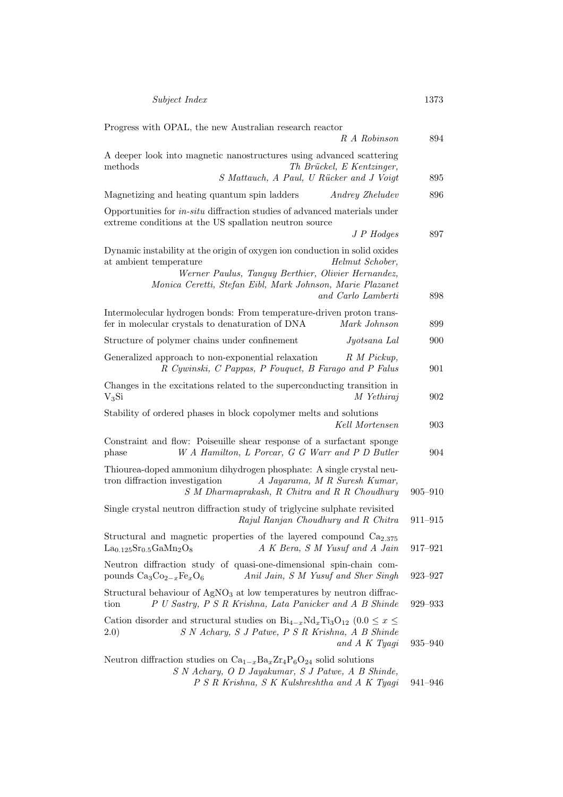| Progress with OPAL, the new Australian research reactor<br>R A Robinson                                                                                                                                                                                          | 894         |
|------------------------------------------------------------------------------------------------------------------------------------------------------------------------------------------------------------------------------------------------------------------|-------------|
| A deeper look into magnetic nanostructures using advanced scattering<br>methods<br>Th Brückel, E Kentzinger,                                                                                                                                                     |             |
| S Mattauch, A Paul, U Rücker and J Voigt                                                                                                                                                                                                                         | 895         |
| Magnetizing and heating quantum spin ladders<br><i>Andrey Zheludev</i>                                                                                                                                                                                           | 896         |
| Opportunities for <i>in-situ</i> diffraction studies of advanced materials under<br>extreme conditions at the US spallation neutron source<br>$J \, P \, Hodges$                                                                                                 | 897         |
| Dynamic instability at the origin of oxygen ion conduction in solid oxides<br>Helmut Schober,<br>at ambient temperature<br>Werner Paulus, Tanguy Berthier, Olivier Hernandez,<br>Monica Ceretti, Stefan Eibl, Mark Johnson, Marie Plazanet<br>and Carlo Lamberti | 898         |
| Intermolecular hydrogen bonds: From temperature-driven proton trans-<br>fer in molecular crystals to denaturation of DNA<br>Mark Johnson                                                                                                                         | 899         |
| Structure of polymer chains under confinement<br>Jyotsana Lal                                                                                                                                                                                                    | 900         |
| Generalized approach to non-exponential relaxation<br>R M Pickup.<br>R Cywinski, C Pappas, P Fouquet, B Farago and P Falus                                                                                                                                       | 901         |
| Changes in the excitations related to the superconducting transition in<br>$V_3Si$<br>M Yethiraj                                                                                                                                                                 | 902         |
| Stability of ordered phases in block copolymer melts and solutions<br>Kell Mortensen                                                                                                                                                                             | 903         |
| Constraint and flow: Poiseuille shear response of a surfactant sponge<br>W A Hamilton, L Porcar, G G Warr and P D Butler<br>phase                                                                                                                                | 904         |
| Thiourea-doped ammonium dihydrogen phosphate: A single crystal neu-<br>tron diffraction investigation<br>A Jayarama, M R Suresh Kumar,<br>S M Dharmaprakash, R Chitra and R R Choudhury                                                                          | $905 - 910$ |
| Single crystal neutron diffraction study of triglycine sulphate revisited<br>Rajul Ranjan Choudhury and R Chitra                                                                                                                                                 | $911 - 915$ |
| Structural and magnetic properties of the layered compound $Ca2.375$<br>A K Bera, S M Yusuf and A Jain<br>$La0.125Sr0.5GaMn2O8$                                                                                                                                  | $917 - 921$ |
| Neutron diffraction study of quasi-one-dimensional spin-chain com-<br>pounds $Ca_3Co_{2-x}Fe_xO_6$<br>Anil Jain, S M Yusuf and Sher Singh                                                                                                                        | 923-927     |
| Structural behaviour of $AgNO3$ at low temperatures by neutron diffrac-<br>P U Sastry, P S R Krishna, Lata Panicker and A B Shinde<br>tion                                                                                                                       | $929 - 933$ |
| Cation disorder and structural studies on $Bi_{4-x}Nd_xTi_3O_{12}$ (0.0 $\leq x \leq$<br>(2.0)<br>S N Achary, S J Patwe, P S R Krishna, A B Shinde<br>and A K Tyagi                                                                                              | 935–940     |
| Neutron diffraction studies on $Ca_{1-x}Ba_xZr_4P_6O_{24}$ solid solutions<br>S N Achary, O D Jayakumar, S J Patwe, A B Shinde,<br>P S R Krishna, S K Kulshreshtha and A K Tyagi                                                                                 | 941-946     |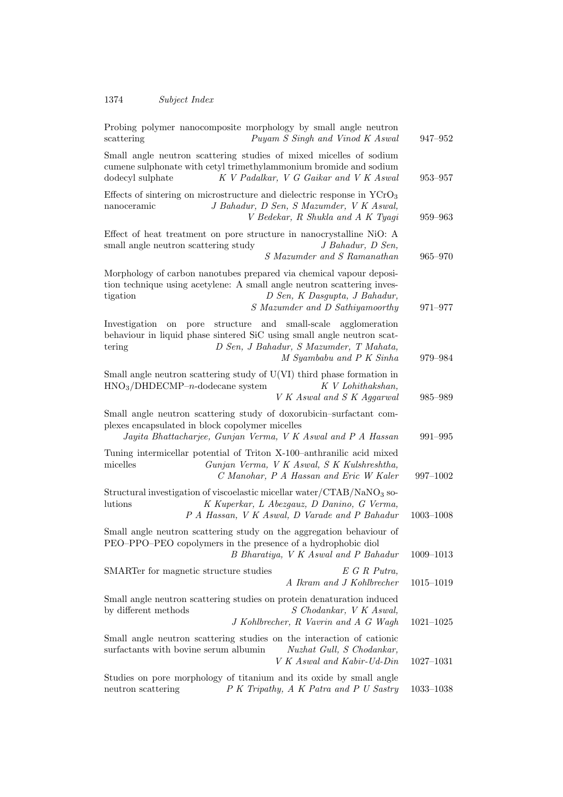| Probing polymer nanocomposite morphology by small angle neutron<br>scattering<br>Puyam S Singh and Vinod K Aswal                                                                                                                        | $947 - 952$   |
|-----------------------------------------------------------------------------------------------------------------------------------------------------------------------------------------------------------------------------------------|---------------|
| Small angle neutron scattering studies of mixed micelles of sodium<br>cumene sulphonate with cetyl trimethylammonium bromide and sodium<br>K V Padalkar, V G Gaikar and V K Aswal<br>dodecyl sulphate                                   | 953–957       |
| Effects of sintering on microstructure and dielectric response in $YCrO3$<br>J Bahadur, D Sen, S Mazumder, V K Aswal,<br>nanoceramic<br>V Bedekar, R Shukla and A K Tyagi                                                               | 959-963       |
| Effect of heat treatment on pore structure in nanocrystalline NiO: A<br>small angle neutron scattering study<br>J Bahadur, D Sen,<br>S Mazumder and S Ramanathan                                                                        | 965–970       |
| Morphology of carbon nanotubes prepared via chemical vapour deposi-<br>tion technique using acetylene: A small angle neutron scattering inves-<br>D Sen, K Dasgupta, J Bahadur,<br>tigation<br>S Mazumder and D Sathiyamoorthy          | 971-977       |
| small-scale agglomeration<br>Investigation<br>pore<br>structure<br>and<br>on<br>behaviour in liquid phase sintered SiC using small angle neutron scat-<br>D Sen, J Bahadur, S Mazumder, T Mahata,<br>tering<br>M Syambabu and P K Sinha | 979–984       |
| Small angle neutron scattering study of U(VI) third phase formation in<br>$HNO3/DHDECMP-n-dodecane system$<br>K V Lohithakshan,<br>V K Aswal and S K Aggarwal                                                                           | $985 - 989$   |
| Small angle neutron scattering study of doxorubicin-surfactant com-<br>plexes encapsulated in block copolymer micelles<br>Jayita Bhattacharjee, Gunjan Verma, V K Aswal and P A Hassan                                                  | 991-995       |
| Tuning intermicellar potential of Triton X-100-anthranilic acid mixed<br>micelles<br>Gunjan Verma, V K Aswal, S K Kulshreshtha,<br>C Manohar, P A Hassan and Eric W Kaler                                                               | 997-1002      |
| Structural investigation of viscoelastic micellar water/CTAB/NaNO3 so-<br>lutions<br>K Kuperkar, L Abezgauz, D Danino, G Verma,<br>P A Hassan, V K Aswal, D Varade and P Bahadur                                                        | $1003 - 1008$ |
| Small angle neutron scattering study on the aggregation behaviour of<br>PEO–PPO–PEO copolymers in the presence of a hydrophobic diol<br>B Bharatiya, V K Aswal and P Bahadur                                                            | $1009 - 1013$ |
| SMARTer for magnetic structure studies<br>$E \ G \ R \ Putra,$<br>A Ikram and J Kohlbrecher                                                                                                                                             | $1015 - 1019$ |
| Small angle neutron scattering studies on protein denaturation induced<br>by different methods<br>S Chodankar, V K Aswal,<br>J Kohlbrecher, R Vavrin and A G Wagh                                                                       | $1021 - 1025$ |
| Small angle neutron scattering studies on the interaction of cationic<br>surfactants with bovine serum albumin<br>Nuzhat Gull, S Chodankar,<br>V K Aswal and Kabir-Ud-Din                                                               | $1027 - 1031$ |
| Studies on pore morphology of titanium and its oxide by small angle<br>P K Tripathy, A K Patra and P U Sastry<br>neutron scattering                                                                                                     | $1033 - 1038$ |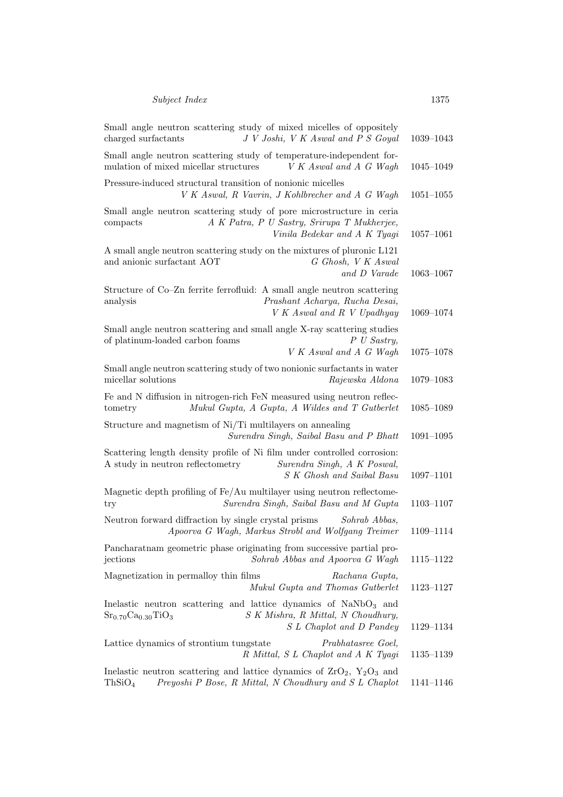| Small angle neutron scattering study of mixed micelles of oppositely<br>J V Joshi, V K Aswal and P S Goyal<br>charged surfactants                                        | 1039-1043     |
|--------------------------------------------------------------------------------------------------------------------------------------------------------------------------|---------------|
| Small angle neutron scattering study of temperature-independent for-<br>mulation of mixed micellar structures<br>V K Aswal and A G Wagh                                  | $1045 - 1049$ |
| Pressure-induced structural transition of nonionic micelles<br>V K Aswal, R Vavrin, J Kohlbrecher and A G Wagh                                                           | $1051 - 1055$ |
| Small angle neutron scattering study of pore microstructure in ceria<br>A K Patra, P U Sastry, Srirupa T Mukherjee,<br>compacts<br>Vinila Bedekar and A K Tyagi          | $1057 - 1061$ |
| A small angle neutron scattering study on the mixtures of pluronic L121<br>and anionic surfactant AOT<br>G Ghosh, V K Aswal<br>and D Varade                              | $1063 - 1067$ |
| Structure of Co-Zn ferrite ferrofluid: A small angle neutron scattering<br>Prashant Acharya, Rucha Desai,<br>analysis<br>V K Aswal and R V Upadhyay                      | 1069-1074     |
| Small angle neutron scattering and small angle X-ray scattering studies<br>P U Sastry,<br>of platinum-loaded carbon foams<br>V K Aswal and A G Wagh                      | 1075-1078     |
| Small angle neutron scattering study of two nonionic surfactants in water<br>micellar solutions<br>Rajewska Aldona                                                       | $1079 - 1083$ |
| Fe and N diffusion in nitrogen-rich FeN measured using neutron reflec-<br>Mukul Gupta, A Gupta, A Wildes and T Gutberlet<br>tometry                                      | $1085 - 1089$ |
| Structure and magnetism of Ni/Ti multilayers on annealing<br>Surendra Singh, Saibal Basu and P Bhatt                                                                     | $1091 - 1095$ |
| Scattering length density profile of Ni film under controlled corrosion:<br>A study in neutron reflectometry<br>Surendra Singh, A K Poswal,<br>S K Ghosh and Saibal Basu | $1097 - 1101$ |
| Magnetic depth profiling of Fe/Au multilayer using neutron reflectome-<br>Surendra Singh, Saibal Basu and M Gupta<br>try                                                 | 1103-1107     |
| Neutron forward diffraction by single crystal prisms<br>Sohrab Abbas,<br>Apoorva G Wagh, Markus Strobl and Wolfgang Treimer                                              | 1109-1114     |
| Pancharatnam geometric phase originating from successive partial pro-<br>jections<br>Sohrab Abbas and Apoorva G Wagh                                                     | 1115–1122     |
| Magnetization in permalloy thin films<br>Rachana Gupta,<br>Mukul Gupta and Thomas Gutberlet                                                                              | 1123-1127     |
| Inelastic neutron scattering and lattice dynamics of $\text{NaNbO}_3$ and<br>$Sr_{0.70}Ca_{0.30}TiO_3$<br>S K Mishra, R Mittal, N Choudhury,<br>S L Chaplot and D Pandey | 1129-1134     |
| Lattice dynamics of strontium tungstate<br>Prabhatasree Goel,<br>R Mittal, S L Chaplot and A K Tyagi                                                                     | 1135–1139     |
| Inelastic neutron scattering and lattice dynamics of $ZrO_2$ , $Y_2O_3$ and<br>ThSiO <sub>4</sub><br>Preyoshi P Bose, R Mittal, N Choudhury and S L Chaplot              | 1141-1146     |
|                                                                                                                                                                          |               |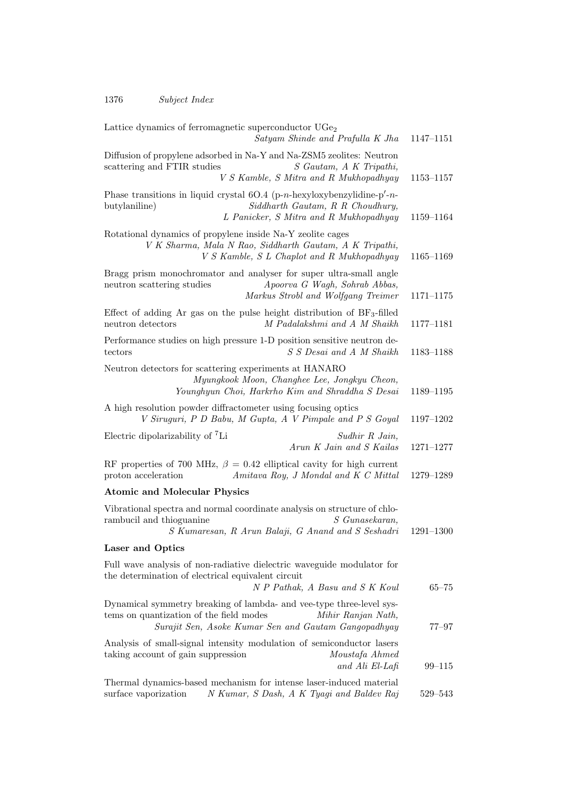| Lattice dynamics of ferromagnetic superconductor UGe <sub>2</sub><br>Satyam Shinde and Prafulla K Jha                                                                                         | 1147-1151     |
|-----------------------------------------------------------------------------------------------------------------------------------------------------------------------------------------------|---------------|
| Diffusion of propylene adsorbed in Na-Y and Na-ZSM5 zeolites: Neutron<br>scattering and FTIR studies<br>S Gautam, A K Tripathi,<br>V S Kamble, S Mitra and R Mukhopadhyay                     | 1153-1157     |
| Phase transitions in liquid crystal $6O.4$ (p-n-hexyloxybenzylidine-p'-n-<br>Siddharth Gautam, R R Choudhury,<br>butylaniline)<br>L Panicker, S Mitra and R Mukhopadhyay                      | 1159-1164     |
| Rotational dynamics of propylene inside Na-Y zeolite cages<br>V K Sharma, Mala N Rao, Siddharth Gautam, A K Tripathi,<br>V S Kamble, S L Chaplot and R Mukhopadhyay                           | 1165-1169     |
| Bragg prism monochromator and analyser for super ultra-small angle<br>Apoorva G Wagh, Sohrab Abbas,<br>neutron scattering studies<br>Markus Strobl and Wolfgang Treimer                       | $1171 - 1175$ |
| Effect of adding Ar gas on the pulse height distribution of $BF_3$ -filled<br>M Padalakshmi and A M Shaikh<br>neutron detectors                                                               | 1177-1181     |
| Performance studies on high pressure 1-D position sensitive neutron de-<br>S S Desai and A M Shaikh<br>tectors                                                                                | 1183-1188     |
| Neutron detectors for scattering experiments at HANARO<br>Myungkook Moon, Changhee Lee, Jongkyu Cheon,<br>Younghyun Choi, Harkrho Kim and Shraddha S Desai                                    | 1189-1195     |
| A high resolution powder diffractometer using focusing optics<br>V Siruguri, P D Babu, M Gupta, A V Pimpale and P S Goyal                                                                     | 1197-1202     |
| Electric dipolarizability of <sup>7</sup> Li<br>Sudhir R Jain,<br>Arun K Jain and S Kailas                                                                                                    | $1271 - 1277$ |
| RF properties of 700 MHz, $\beta = 0.42$ elliptical cavity for high current<br>proton acceleration<br>Amitava Roy, J Mondal and K C Mittal                                                    | 1279-1289     |
| <b>Atomic and Molecular Physics</b>                                                                                                                                                           |               |
| Vibrational spectra and normal coordinate analysis on structure of chlo-<br>rambucil and thioguanine<br>S Gunasekaran,<br>S Kumaresan, R Arun Balaji, G Anand and S Seshadri                  | $1291 - 1300$ |
| <b>Laser and Optics</b>                                                                                                                                                                       |               |
| Full wave analysis of non-radiative dielectric waveguide modulator for<br>the determination of electrical equivalent circuit<br>N P Pathak, A Basu and S K Koul                               | $65 - 75$     |
| Dynamical symmetry breaking of lambda- and vee-type three-level sys-<br>tems on quantization of the field modes<br>Mihir Ranjan Nath,<br>Surajit Sen, Asoke Kumar Sen and Gautam Gangopadhyay | $77 - 97$     |
| Analysis of small-signal intensity modulation of semiconductor lasers<br>taking account of gain suppression<br>Moustafa Ahmed<br>and Ali El-Lafi                                              | 99-115        |
| Thermal dynamics-based mechanism for intense laser-induced material<br>surface vaporization<br>N Kumar, S Dash, A K Tyagi and Baldev Raj                                                      | 529-543       |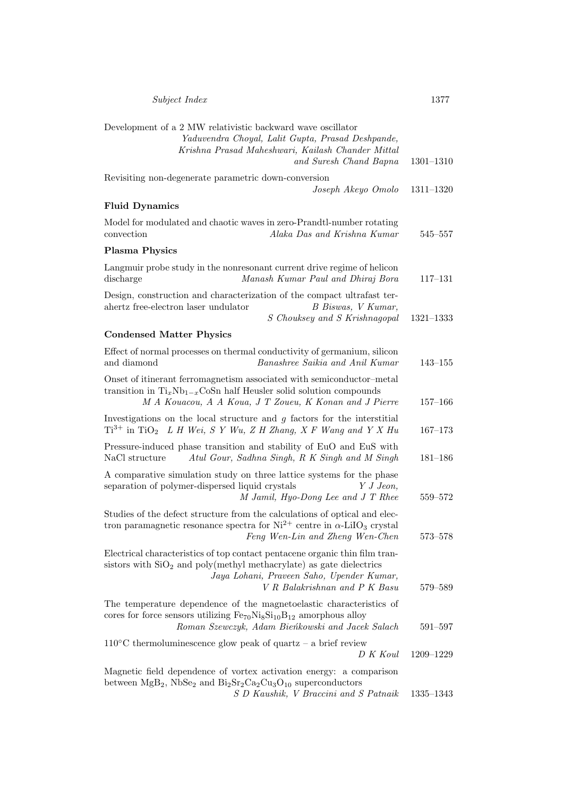| Subject Index                                                                                                                                                                                                                      | 1377          |
|------------------------------------------------------------------------------------------------------------------------------------------------------------------------------------------------------------------------------------|---------------|
| Development of a 2 MW relativistic backward wave oscillator<br>Yaduvendra Choyal, Lalit Gupta, Prasad Deshpande,<br>Krishna Prasad Maheshwari, Kailash Chander Mittal<br>and Suresh Chand Bapna                                    | $1301 - 1310$ |
| Revisiting non-degenerate parametric down-conversion<br>Joseph Akeyo Omolo                                                                                                                                                         | 1311-1320     |
| <b>Fluid Dynamics</b>                                                                                                                                                                                                              |               |
| Model for modulated and chaotic waves in zero-Prandtl-number rotating<br>convection<br>Alaka Das and Krishna Kumar                                                                                                                 | $545 - 557$   |
| <b>Plasma Physics</b>                                                                                                                                                                                                              |               |
| Langmuir probe study in the nonresonant current drive regime of helicon<br>discharge<br>Manash Kumar Paul and Dhiraj Bora                                                                                                          | $117 - 131$   |
| Design, construction and characterization of the compact ultrafast ter-<br>ahertz free-electron laser undulator<br>B Biswas, V Kumar,<br>S Chouksey and S Krishnagopal                                                             | $1321 - 1333$ |
| <b>Condensed Matter Physics</b>                                                                                                                                                                                                    |               |
| Effect of normal processes on thermal conductivity of germanium, silicon<br>Banashree Saikia and Anil Kumar<br>and diamond                                                                                                         | $143 - 155$   |
| Onset of itinerant ferromagnetism associated with semiconductor-metal<br>transition in $Ti_xNb_{1-x}CoSn$ half Heusler solid solution compounds<br>M A Kouacou, A A Koua, J T Zoueu, K Konan and J Pierre                          | $157 - 166$   |
| Investigations on the local structure and $g$ factors for the interstitial<br>$Ti^{3+}$ in TiO <sub>2</sub> L H Wei, S Y Wu, Z H Zhang, X F Wang and Y X Hu                                                                        | $167 - 173$   |
| Pressure-induced phase transition and stability of EuO and EuS with<br>NaCl structure<br>Atul Gour, Sadhna Singh, R K Singh and M Singh                                                                                            | $181 - 186$   |
| A comparative simulation study on three lattice systems for the phase<br>separation of polymer-dispersed liquid crystals<br>Y J Jeon,<br>$M$ Jamil, Hyo-Dong Lee and J T Rhee                                                      | 559-572       |
| Studies of the defect structure from the calculations of optical and elec-<br>tron paramagnetic resonance spectra for $Ni^{2+}$ centre in $\alpha$ -LiIO <sub>3</sub> crystal<br>Feng Wen-Lin and Zheng Wen-Chen                   | 573-578       |
| Electrical characteristics of top contact pentacene organic thin film tran-<br>sistors with $SiO2$ and poly(methyl methacrylate) as gate dielectrics<br>Jaya Lohani, Praveen Saho, Upender Kumar,<br>V R Balakrishnan and P K Basu | 579-589       |
| The temperature dependence of the magnetoelastic characteristics of<br>cores for force sensors utilizing $Fe_{70}Ni_8Si_{10}B_{12}$ amorphous alloy<br>Roman Szewczyk, Adam Bieńkowski and Jacek Salach                            | 591-597       |
| $110^{\circ}$ C thermoluminescence glow peak of quartz – a brief review<br>D K Koul                                                                                                                                                | 1209-1229     |
| Magnetic field dependence of vortex activation energy: a comparison<br>between $MgB_2$ , NbSe <sub>2</sub> and $Bi_2Sr_2Ca_2Cu_3O_{10}$ superconductors<br>S D Kaushik, V Braccini and S Patnaik                                   | 1335–1343     |